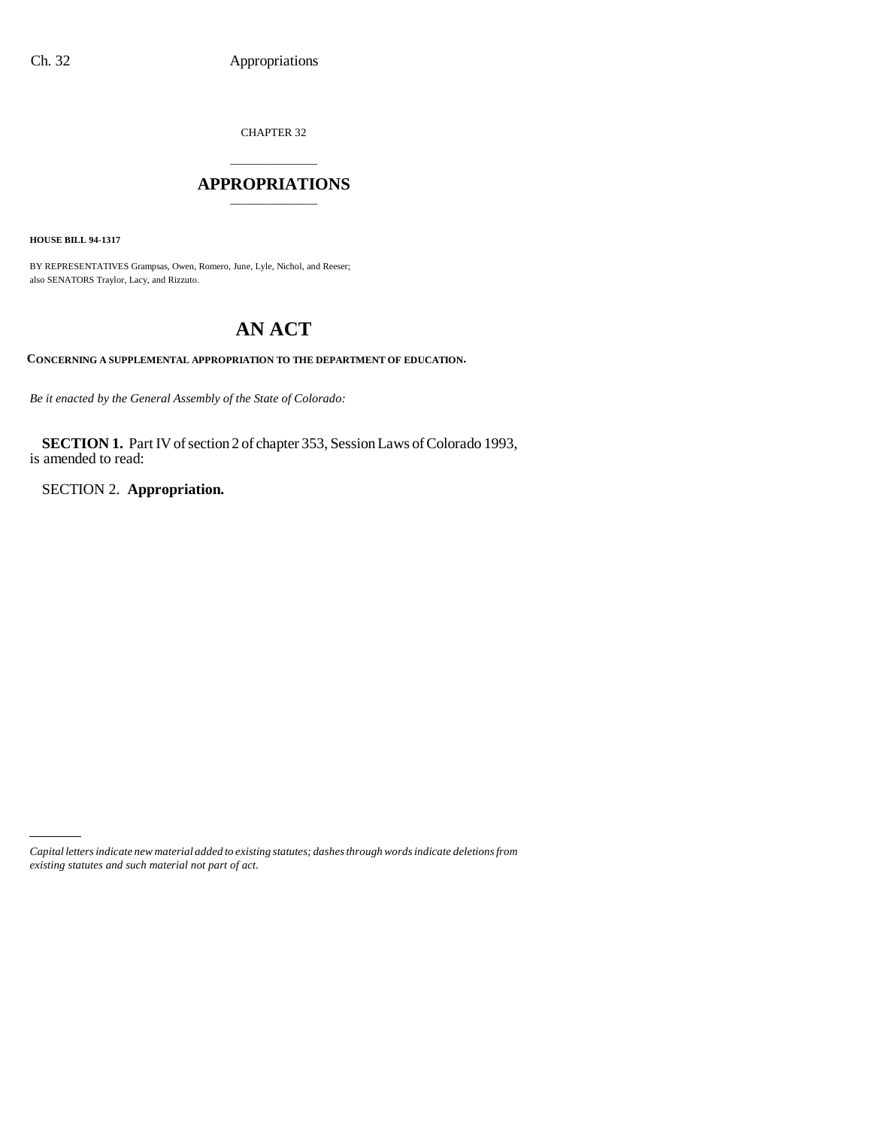CHAPTER 32

# \_\_\_\_\_\_\_\_\_\_\_\_\_\_\_ **APPROPRIATIONS** \_\_\_\_\_\_\_\_\_\_\_\_\_\_\_

**HOUSE BILL 94-1317**

BY REPRESENTATIVES Grampsas, Owen, Romero, June, Lyle, Nichol, and Reeser; also SENATORS Traylor, Lacy, and Rizzuto.

# **AN ACT**

**CONCERNING A SUPPLEMENTAL APPROPRIATION TO THE DEPARTMENT OF EDUCATION.**

*Be it enacted by the General Assembly of the State of Colorado:*

**SECTION 1.** Part IV of section 2 of chapter 353, Session Laws of Colorado 1993, is amended to read:

SECTION 2. **Appropriation.**

*Capital letters indicate new material added to existing statutes; dashes through words indicate deletions from existing statutes and such material not part of act.*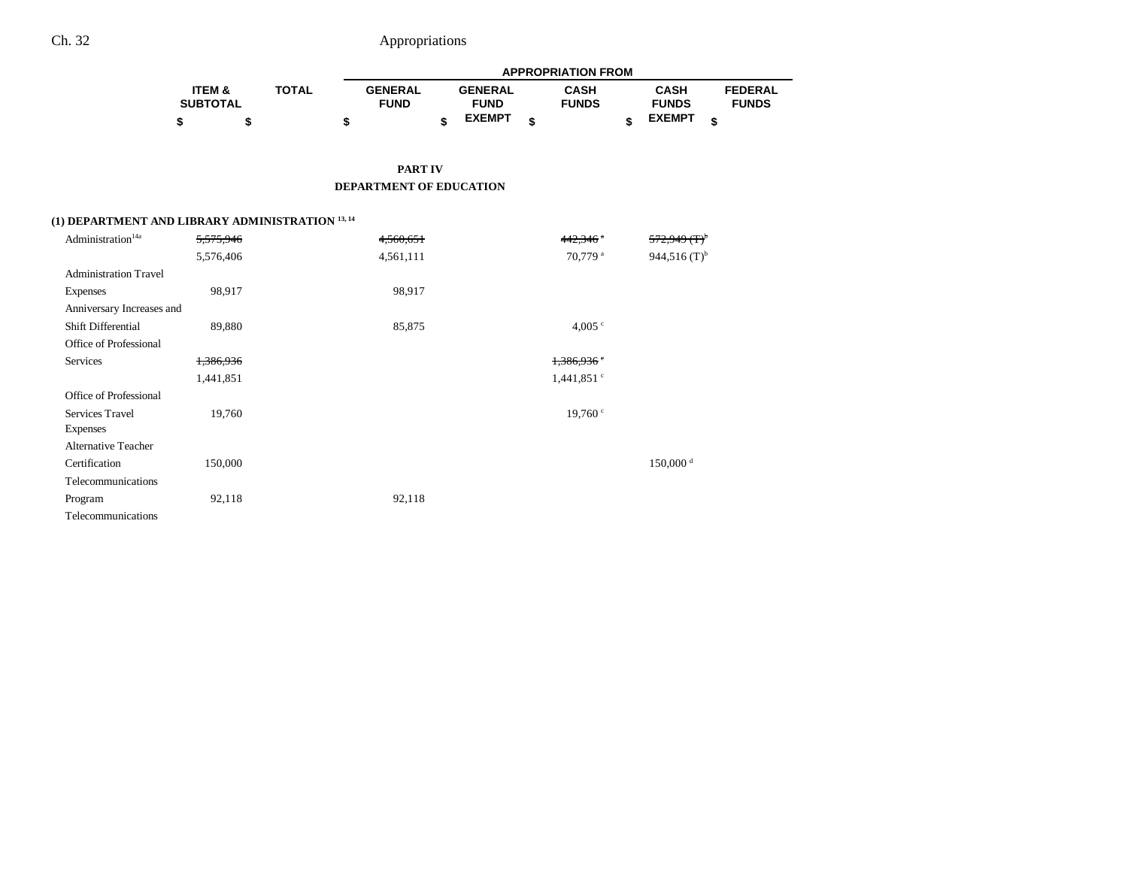|                   |              |                |                | <b>APPROPRIATION FROM</b> |               |   |                |
|-------------------|--------------|----------------|----------------|---------------------------|---------------|---|----------------|
| <b>ITEM &amp;</b> | <b>TOTAL</b> | <b>GENERAL</b> | <b>GENERAL</b> | <b>CASH</b>               | <b>CASH</b>   |   | <b>FEDERAL</b> |
| <b>SUBTOTAL</b>   |              | <b>FUND</b>    | <b>FUND</b>    | <b>FUNDS</b>              | <b>FUNDS</b>  |   | <b>FUNDS</b>   |
|                   |              |                | <b>EXEMPT</b>  |                           | <b>EXEMPT</b> | ¢ |                |

**PART IV DEPARTMENT OF EDUCATION**

# **(1) DEPARTMENT AND LIBRARY ADMINISTRATION 13, 14**

| Administration <sup>14a</sup> | 5,575,946 | 4,560,651 | 442,346 **               | $572,949$ $(T)^{b}$    |
|-------------------------------|-----------|-----------|--------------------------|------------------------|
|                               | 5,576,406 | 4,561,111 | 70,779 <sup>a</sup>      | 944,516 $(T)^{b}$      |
| <b>Administration Travel</b>  |           |           |                          |                        |
| <b>Expenses</b>               | 98,917    | 98,917    |                          |                        |
| Anniversary Increases and     |           |           |                          |                        |
| <b>Shift Differential</b>     | 89,880    | 85,875    | 4,005 $\degree$          |                        |
| Office of Professional        |           |           |                          |                        |
| Services                      | 1,386,936 |           | 1,386,936                |                        |
|                               | 1,441,851 |           | $1,441,851$ <sup>c</sup> |                        |
| Office of Professional        |           |           |                          |                        |
| Services Travel               | 19,760    |           | 19,760 <sup>c</sup>      |                        |
| <b>Expenses</b>               |           |           |                          |                        |
| <b>Alternative Teacher</b>    |           |           |                          |                        |
| Certification                 | 150,000   |           |                          | $150,000$ <sup>d</sup> |
| Telecommunications            |           |           |                          |                        |
| Program                       | 92,118    | 92,118    |                          |                        |
| Telecommunications            |           |           |                          |                        |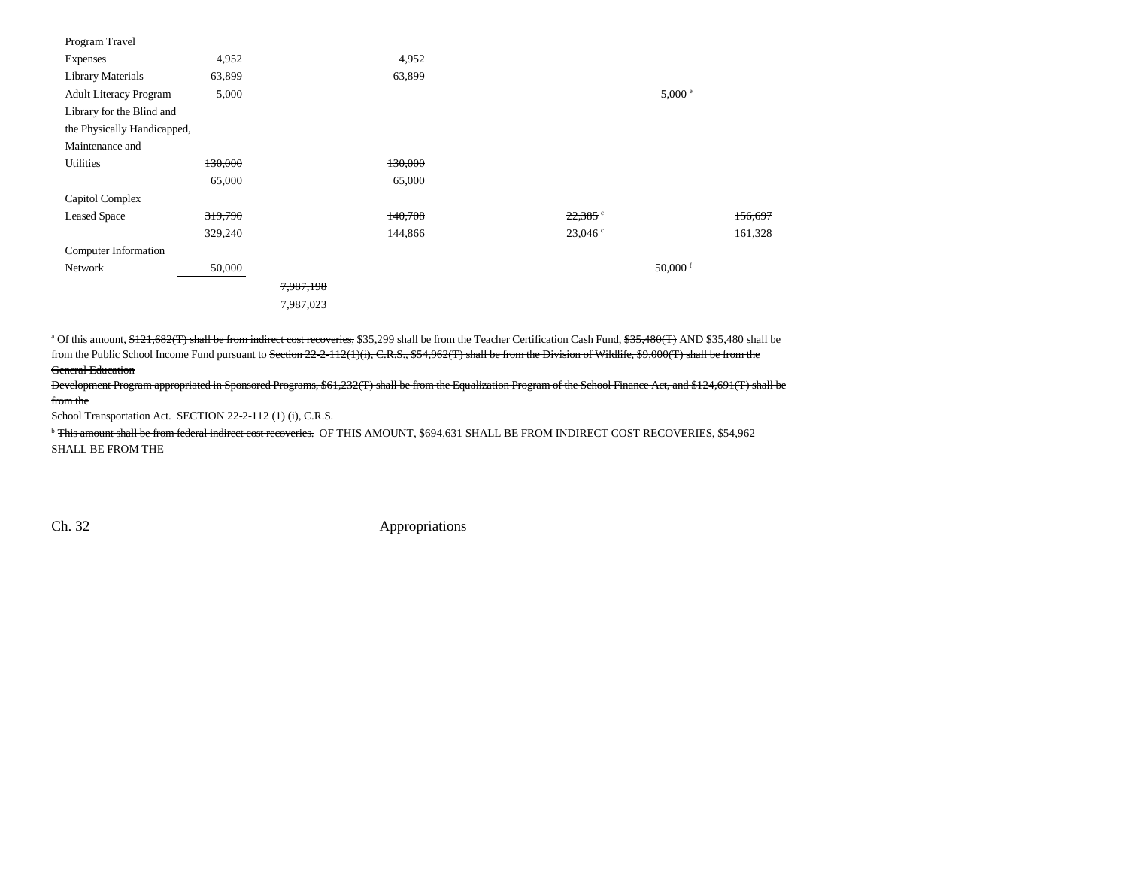| 4,952                       |           | 4,952   |                       |            |
|-----------------------------|-----------|---------|-----------------------|------------|
| 63,899                      |           | 63,899  |                       |            |
| 5,000                       |           |         |                       | 5,000 °    |
| Library for the Blind and   |           |         |                       |            |
| the Physically Handicapped, |           |         |                       |            |
|                             |           |         |                       |            |
| 130,000                     |           | 130,000 |                       |            |
| 65,000                      |           | 65,000  |                       |            |
|                             |           |         |                       |            |
| 319,790                     |           | 140,708 | $22,385$ <sup>c</sup> | 156,697    |
| 329,240                     |           | 144,866 | 23,046°               | 161,328    |
|                             |           |         |                       |            |
| 50,000                      |           |         |                       | 50,000 $f$ |
|                             | 7,987,198 |         |                       |            |
|                             | 7,987,023 |         |                       |            |
|                             |           |         |                       |            |

<sup>a</sup> Of this amount, \$121,682(T) shall be from indirect cost recoveries, \$35,299 shall be from the Teacher Certification Cash Fund, \$35,480(T) AND \$35,480 shall be from the Public School Income Fund pursuant to Section 22-2-112(1)(i), C.R.S., \$54,962(T) shall be from the Division of Wildlife, \$9,000(T) shall be from the General Education

Development Program appropriated in Sponsored Programs, \$61,232(T) shall be from the Equalization Program of the School Finance Act, and \$124,691(T) shall be from the

School Transportation Act. SECTION 22-2-112 (1) (i), C.R.S.

<sup>b</sup> This amount shall be from federal indirect cost recoveries. OF THIS AMOUNT, \$694,631 SHALL BE FROM INDIRECT COST RECOVERIES, \$54,962 SHALL BE FROM THE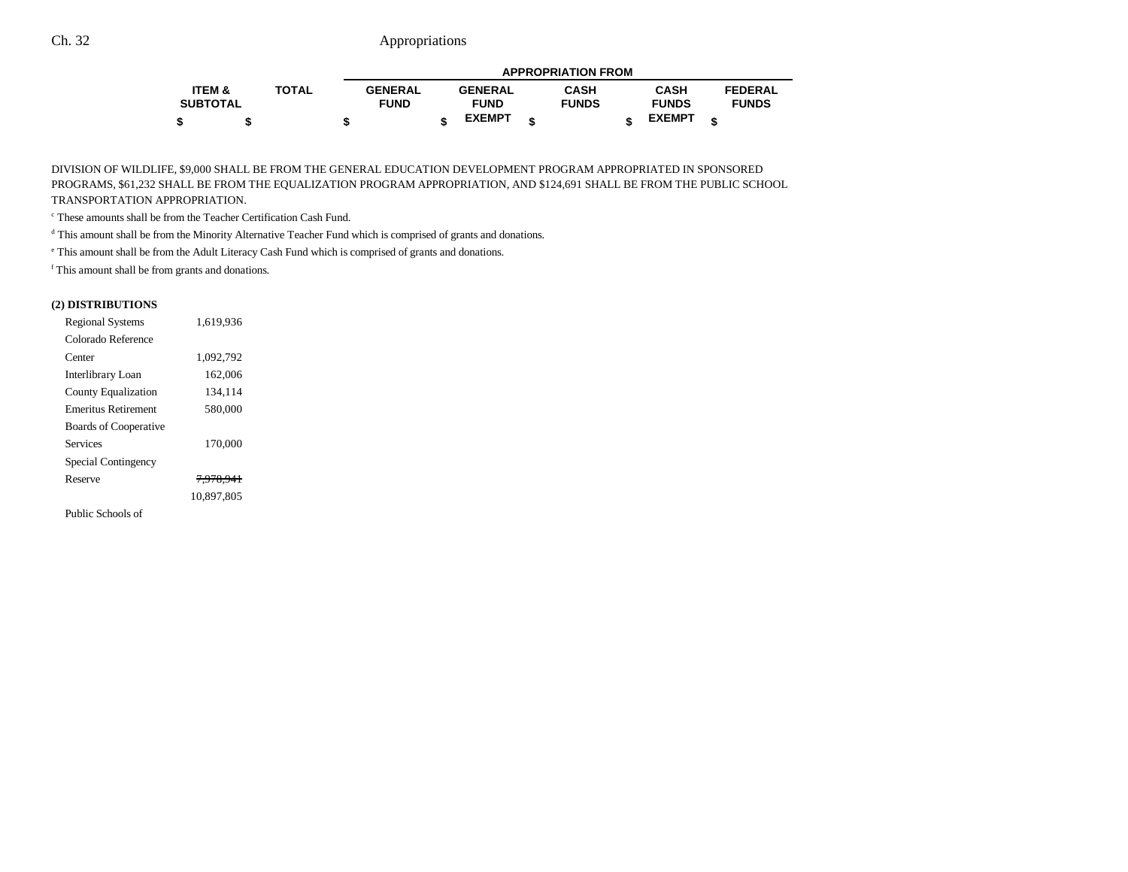|                 |              |                |                | <b>APPROPRIATION FROM</b> |               |                |
|-----------------|--------------|----------------|----------------|---------------------------|---------------|----------------|
| ITEM &          | <b>TOTAL</b> | <b>GENERAL</b> | <b>GENERAL</b> | <b>CASH</b>               | <b>CASH</b>   | <b>FEDERAL</b> |
| <b>SUBTOTAL</b> |              | <b>FUND</b>    | <b>FUND</b>    | <b>FUNDS</b>              | <b>FUNDS</b>  | <b>FUNDS</b>   |
|                 |              |                | <b>EXEMPT</b>  |                           | <b>EXEMPT</b> |                |

DIVISION OF WILDLIFE, \$9,000 SHALL BE FROM THE GENERAL EDUCATION DEVELOPMENT PROGRAM APPROPRIATED IN SPONSORED PROGRAMS, \$61,232 SHALL BE FROM THE EQUALIZATION PROGRAM APPROPRIATION, AND \$124,691 SHALL BE FROM THE PUBLIC SCHOOL TRANSPORTATION APPROPRIATION.

c These amounts shall be from the Teacher Certification Cash Fund.

d This amount shall be from the Minority Alternative Teacher Fund which is comprised of grants and donations.

e This amount shall be from the Adult Literacy Cash Fund which is comprised of grants and donations.

f This amount shall be from grants and donations.

### **(2) DISTRIBUTIONS**

| <b>Regional Systems</b>    | 1.619.936            |  |
|----------------------------|----------------------|--|
| Colorado Reference         |                      |  |
| Center                     | 1.092.792            |  |
| Interlibrary Loan          | 162,006              |  |
| <b>County Equalization</b> | 134,114              |  |
| <b>Emeritus Retirement</b> | 580,000              |  |
| Boards of Cooperative      |                      |  |
| Services                   | 170,000              |  |
| Special Contingency        |                      |  |
| Reserve                    | <del>7.978,941</del> |  |
|                            | 10.897.805           |  |
| Public Schools of          |                      |  |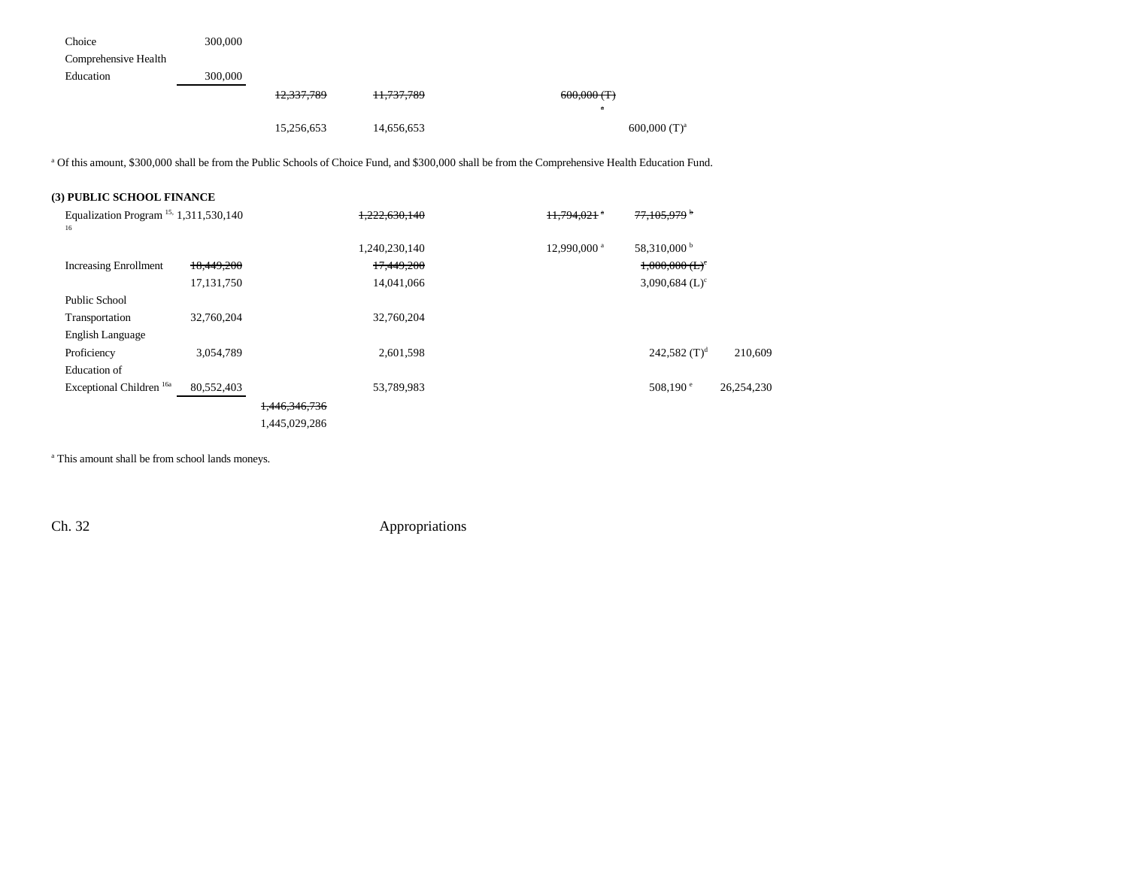| Choice               | 300,000 |            |            |                            |
|----------------------|---------|------------|------------|----------------------------|
| Comprehensive Health |         |            |            |                            |
| Education            | 300,000 |            |            |                            |
|                      |         | 12,337,789 | 11,737,789 | $600,000$ (T)              |
|                      |         |            |            | $\alpha$                   |
|                      |         | 15,256,653 | 14,656,653 | $600,000$ (T) <sup>a</sup> |

<sup>a</sup> Of this amount, \$300,000 shall be from the Public Schools of Choice Fund, and \$300,000 shall be from the Comprehensive Health Education Fund.

## **(3) PUBLIC SCHOOL FINANCE**

| Equalization Program <sup>15,</sup> 1,311,530,140<br>16 |            |               | 1,222,630,140 | 11.794.021              | <del>77.105.979</del>        |            |
|---------------------------------------------------------|------------|---------------|---------------|-------------------------|------------------------------|------------|
|                                                         |            |               | 1,240,230,140 | 12,990,000 <sup>a</sup> | 58,310,000 <sup>b</sup>      |            |
| <b>Increasing Enrollment</b>                            | 18,449,200 |               | 17,449,200    |                         | $1,000,000$ (L) <sup>c</sup> |            |
|                                                         | 17,131,750 |               | 14,041,066    |                         | 3,090,684 $(L)^c$            |            |
| Public School                                           |            |               |               |                         |                              |            |
| Transportation                                          | 32,760,204 |               | 32,760,204    |                         |                              |            |
| English Language                                        |            |               |               |                         |                              |            |
| Proficiency                                             | 3,054,789  |               | 2,601,598     |                         | 242,582 $(T)^d$              | 210,609    |
| Education of                                            |            |               |               |                         |                              |            |
| Exceptional Children <sup>16a</sup>                     | 80,552,403 |               | 53,789,983    |                         | $508,190^{\circ}$            | 26,254,230 |
|                                                         |            | 1,446,346,736 |               |                         |                              |            |
|                                                         |            | 1,445,029,286 |               |                         |                              |            |

<sup>a</sup> This amount shall be from school lands moneys.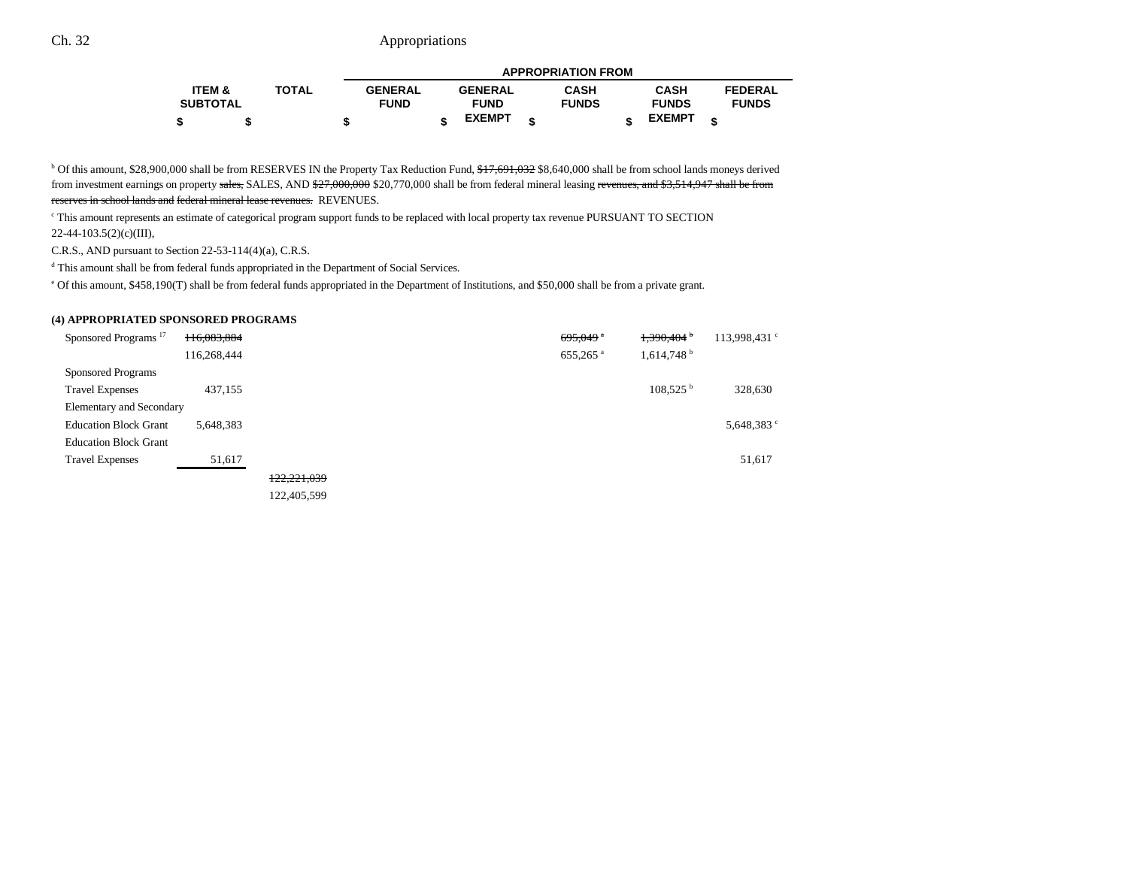|                 |              |                |                | <b>APPROPRIATION FROM</b> |               |   |                |
|-----------------|--------------|----------------|----------------|---------------------------|---------------|---|----------------|
| ITEM &          | <b>TOTAL</b> | <b>GENERAL</b> | <b>GENERAL</b> | <b>CASH</b>               | <b>CASH</b>   |   | <b>FEDERAL</b> |
| <b>SUBTOTAL</b> |              | <b>FUND</b>    | <b>FUND</b>    | <b>FUNDS</b>              | <b>FUNDS</b>  |   | <b>FUNDS</b>   |
|                 | \$           |                | <b>EXEMPT</b>  |                           | <b>EXEMPT</b> | ¢ |                |

<sup>b</sup> Of this amount, \$28,900,000 shall be from RESERVES IN the Property Tax Reduction Fund,  $f_1f_2f_3f_4f_5f_8f_4f_9f_9f_8f_8f_4f_9f_000$  shall be from school lands moneys derived from investment earnings on property sales, SALES, AND \$27,000,000 \$20,770,000 shall be from federal mineral leasing revenues, and \$3,514,947 shall be from reserves in school lands and federal mineral lease revenues. REVENUES.

c This amount represents an estimate of categorical program support funds to be replaced with local property tax revenue PURSUANT TO SECTION 22-44-103.5(2)(c)(III),

C.R.S., AND pursuant to Section 22-53-114(4)(a), C.R.S.

d This amount shall be from federal funds appropriated in the Department of Social Services.

e Of this amount, \$458,190(T) shall be from federal funds appropriated in the Department of Institutions, and \$50,000 shall be from a private grant.

#### **(4) APPROPRIATED SPONSORED PROGRAMS**

| Sponsored Programs <sup>17</sup> | 116,083,884 |             |  | $695,049$ <sup>a</sup> | 1,390,404                | 113,998,431 <sup>c</sup> |
|----------------------------------|-------------|-------------|--|------------------------|--------------------------|--------------------------|
|                                  | 116,268,444 |             |  | 655,265 <sup>a</sup>   | $1,614,748$ <sup>b</sup> |                          |
| Sponsored Programs               |             |             |  |                        |                          |                          |
| <b>Travel Expenses</b>           | 437,155     |             |  |                        | $108,525$ <sup>b</sup>   | 328,630                  |
| Elementary and Secondary         |             |             |  |                        |                          |                          |
| <b>Education Block Grant</b>     | 5,648,383   |             |  |                        |                          | 5,648,383 °              |
| <b>Education Block Grant</b>     |             |             |  |                        |                          |                          |
| <b>Travel Expenses</b>           | 51,617      |             |  |                        |                          | 51,617                   |
|                                  |             | 122,221,039 |  |                        |                          |                          |
|                                  |             | 122,405,599 |  |                        |                          |                          |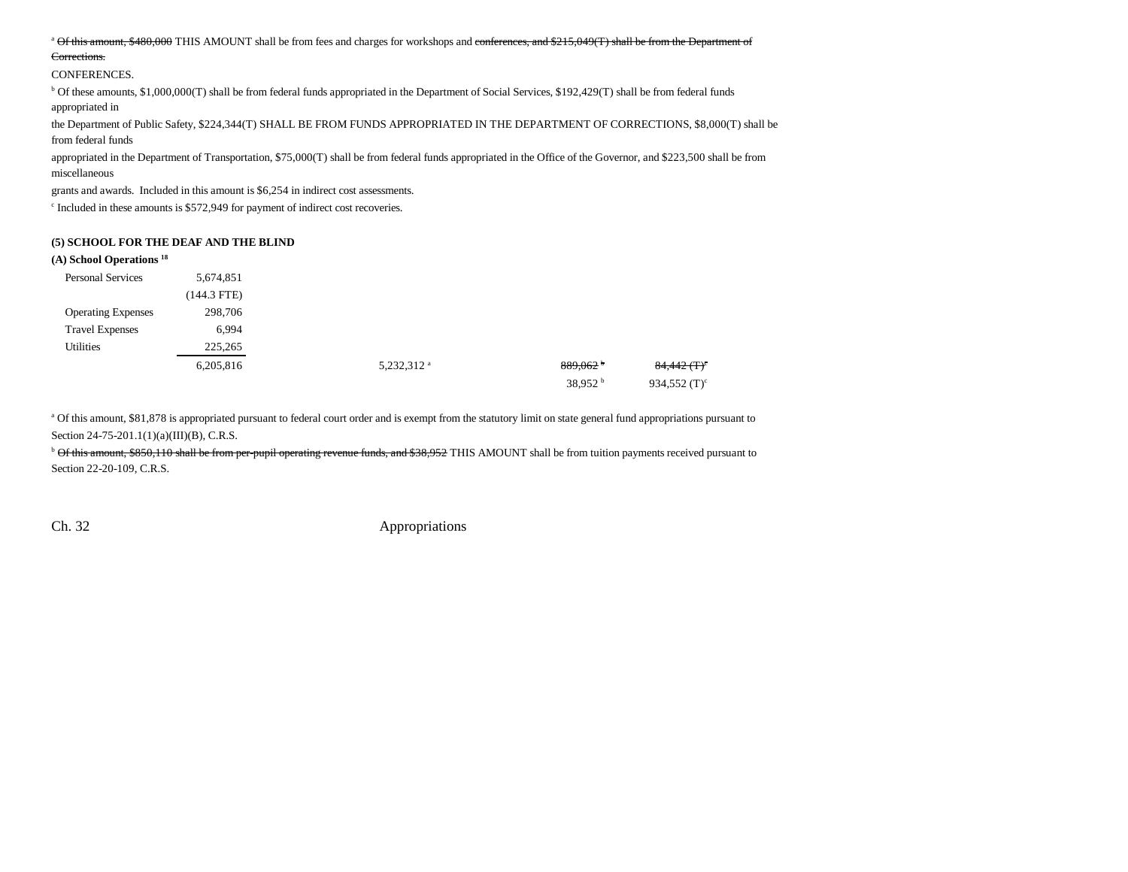#### <sup>a</sup> Of this amount, \$480,000 THIS AMOUNT shall be from fees and charges for workshops and conferences, and \$215,049(T) shall be from the Department of

#### Corrections.

#### CONFERENCES.

b Of these amounts, \$1,000,000(T) shall be from federal funds appropriated in the Department of Social Services, \$192,429(T) shall be from federal funds appropriated in

the Department of Public Safety, \$224,344(T) SHALL BE FROM FUNDS APPROPRIATED IN THE DEPARTMENT OF CORRECTIONS, \$8,000(T) shall be from federal funds

appropriated in the Department of Transportation, \$75,000(T) shall be from federal funds appropriated in the Office of the Governor, and \$223,500 shall be from miscellaneous

grants and awards. Included in this amount is \$6,254 in indirect cost assessments.

c Included in these amounts is \$572,949 for payment of indirect cost recoveries.

#### **(5) SCHOOL FOR THE DEAF AND THE BLIND**

#### **(A) School Operations 18**

| <b>Personal Services</b>  | 5,674,851   |                        |                        |                           |
|---------------------------|-------------|------------------------|------------------------|---------------------------|
|                           | (144.3 FTE) |                        |                        |                           |
| <b>Operating Expenses</b> | 298,706     |                        |                        |                           |
| <b>Travel Expenses</b>    | 6,994       |                        |                        |                           |
| <b>Utilities</b>          | 225,265     |                        |                        |                           |
|                           | 6,205,816   | 5,232,312 <sup>a</sup> | $889,062$ <sup>b</sup> | $84,442$ (T) <sup>c</sup> |
|                           |             |                        | 38,952 $^{\rm b}$      | 934,552 $(T)^c$           |

a Of this amount, \$81,878 is appropriated pursuant to federal court order and is exempt from the statutory limit on state general fund appropriations pursuant to Section 24-75-201.1(1)(a)(III)(B), C.R.S.

<sup>b</sup> Of this amount, \$850,110 shall be from per-pupil operating revenue funds, and \$38,952 THIS AMOUNT shall be from tuition payments received pursuant to Section 22-20-109, C.R.S.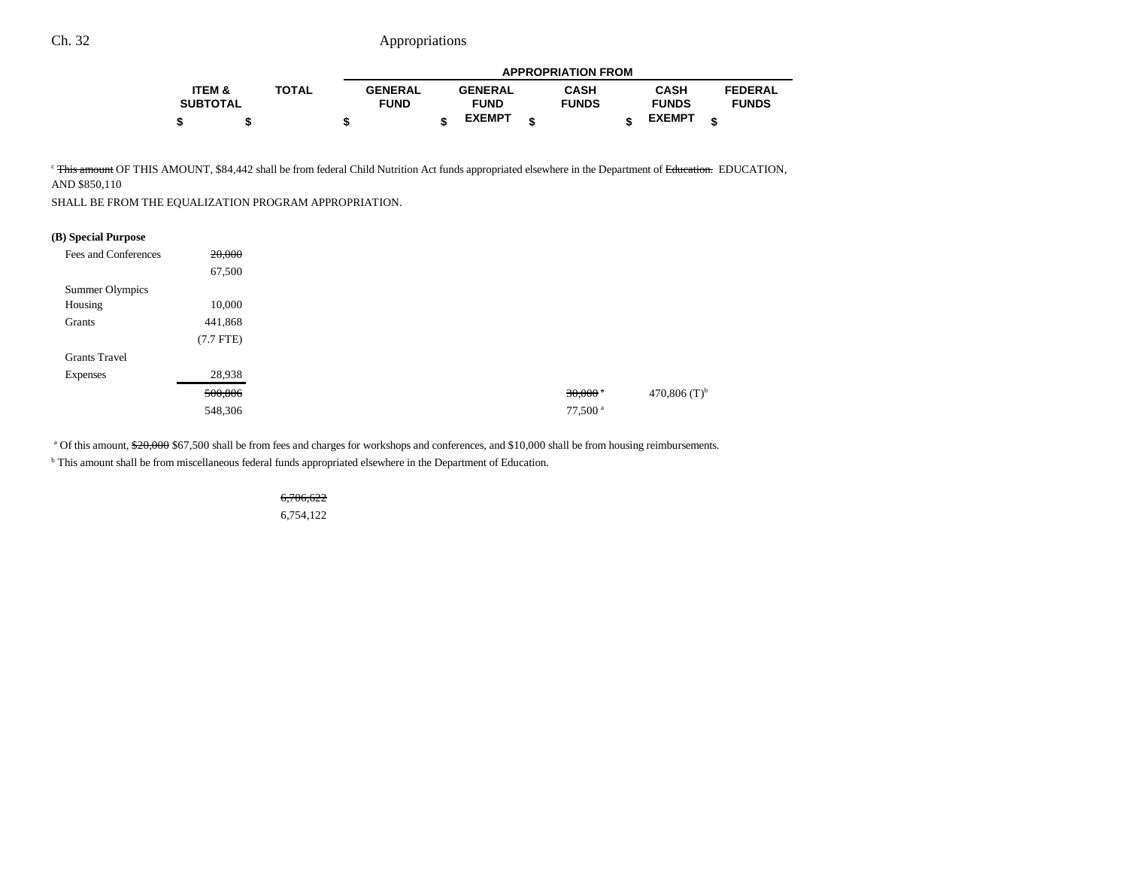|                   |              |                |                | <b>APPROPRIATION FROM</b> |               |                |
|-------------------|--------------|----------------|----------------|---------------------------|---------------|----------------|
| <b>ITEM &amp;</b> | <b>TOTAL</b> | <b>GENERAL</b> | <b>GENERAL</b> | <b>CASH</b>               | CASH          | <b>FEDERAL</b> |
| <b>SUBTOTAL</b>   |              | <b>FUND</b>    | <b>FUND</b>    | <b>FUNDS</b>              | <b>FUNDS</b>  | <b>FUNDS</b>   |
| \$                |              |                | <b>EXEMPT</b>  |                           | <b>EXEMPT</b> |                |

<sup>c</sup> This amount OF THIS AMOUNT, \$84,442 shall be from federal Child Nutrition Act funds appropriated elsewhere in the Department of Education. EDUCATION, AND \$850,110

SHALL BE FROM THE EQUALIZATION PROGRAM APPROPRIATION.

#### **(B) Special Purpose**

| Fees and Conferences | 20,000      |
|----------------------|-------------|
|                      | 67,500      |
| Summer Olympics      |             |
| Housing              | 10,000      |
| Grants               | 441,868     |
|                      | $(7.7$ FTE) |
| <b>Grants Travel</b> |             |
| <b>Expenses</b>      | 28,938      |
|                      | 500,806     |
|                      | 548,306     |

<sup>a</sup> Of this amount,  $20,000$  \$67,500 shall be from fees and charges for workshops and conferences, and \$10,000 shall be from housing reimbursements.

b This amount shall be from miscellaneous federal funds appropriated elsewhere in the Department of Education.

6,706,622 6,754,122